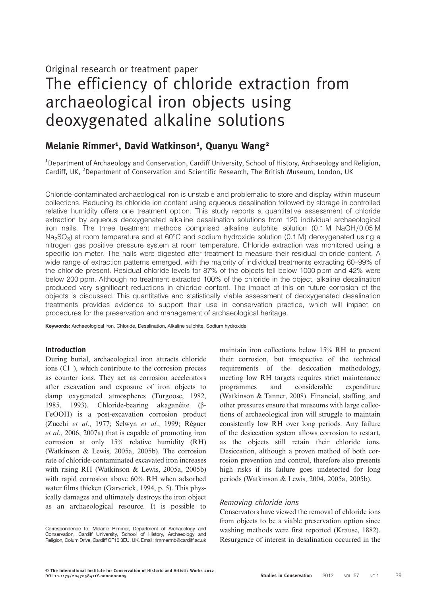Original research or treatment paper

# The efficiency of chloride extraction from archaeological iron objects using deoxygenated alkaline solutions

# Melanie Rimmer<sup>1</sup>, David Watkinson<sup>1</sup>, Quanyu Wang<sup>2</sup>

<sup>1</sup>Department of Archaeology and Conservation, Cardiff University, School of History, Archaeology and Religion, Cardiff, UK, <sup>2</sup>Department of Conservation and Scientific Research, The British Museum, London, UK

Chloride-contaminated archaeological iron is unstable and problematic to store and display within museum collections. Reducing its chloride ion content using aqueous desalination followed by storage in controlled relative humidity offers one treatment option. This study reports a quantitative assessment of chloride extraction by aqueous deoxygenated alkaline desalination solutions from 120 individual archaeological iron nails. The three treatment methods comprised alkaline sulphite solution (0.1 M NaOH/0.05 M Na<sub>2</sub>SO<sub>3</sub>) at room temperature and at 60°C and sodium hydroxide solution (0.1 M) deoxygenated using a nitrogen gas positive pressure system at room temperature. Chloride extraction was monitored using a specific ion meter. The nails were digested after treatment to measure their residual chloride content. A wide range of extraction patterns emerged, with the majority of individual treatments extracting 60–99% of the chloride present. Residual chloride levels for 87% of the objects fell below 1000 ppm and 42% were below 200 ppm. Although no treatment extracted 100% of the chloride in the object, alkaline desalination produced very significant reductions in chloride content. The impact of this on future corrosion of the objects is discussed. This quantitative and statistically viable assessment of deoxygenated desalination treatments provides evidence to support their use in conservation practice, which will impact on procedures for the preservation and management of archaeological heritage.

Keywords: Archaeological iron, Chloride, Desalination, Alkaline sulphite, Sodium hydroxide

# Introduction

During burial, archaeological iron attracts chloride ions (Cl−), which contribute to the corrosion process as counter ions. They act as corrosion accelerators after excavation and exposure of iron objects to damp oxygenated atmospheres ([Turgoose, 1982](#page-11-0), [1985](#page-11-0), [1993](#page-11-0)). Chloride-bearing akaganéite (β-FeOOH) is a post-excavation corrosion product (Zucchi et al[., 1977;](#page-12-0) Selwyn et al[., 1999; Réguer](#page-11-0) et al[., 2006](#page-11-0), [2007a\)](#page-11-0) that is capable of promoting iron corrosion at only 15% relative humidity (RH) [\(Watkinson & Lewis, 2005a](#page-12-0), [2005b](#page-12-0)). The corrosion rate of chloride-contaminated excavated iron increases with rising RH ([Watkinson & Lewis, 2005a](#page-12-0), [2005b\)](#page-12-0) with rapid corrosion above 60% RH when adsorbed water films thicken ([Garverick, 1994,](#page-10-0) p. 5). This physically damages and ultimately destroys the iron object as an archaeological resource. It is possible to

maintain iron collections below 15% RH to prevent their corrosion, but irrespective of the technical requirements of the desiccation methodology, meeting low RH targets requires strict maintenance programmes and considerable expenditure [\(Watkinson & Tanner, 2008\)](#page-12-0). Financial, staffing, and other pressures ensure that museums with large collections of archaeological iron will struggle to maintain consistently low RH over long periods. Any failure of the desiccation system allows corrosion to restart, as the objects still retain their chloride ions. Desiccation, although a proven method of both corrosion prevention and control, therefore also presents high risks if its failure goes undetected for long periods [\(Watkinson & Lewis, 2004](#page-11-0), 2005a, [2005b\)](#page-12-0).

#### Removing chloride ions

Conservators have viewed the removal of chloride ions from objects to be a viable preservation option since washing methods were first reported [\(Krause, 1882](#page-11-0)). Resurgence of interest in desalination occurred in the

Correspondence to: Melanie Rimmer, Department of Archaeology and Conservation, Cardiff University, School of History, Archaeology and Religion, Colum Drive, Cardiff CF10 3EU, UK. Email: [rimmermb@cardiff.ac.uk](mailto:rimmermb@cardiff.ac.uk)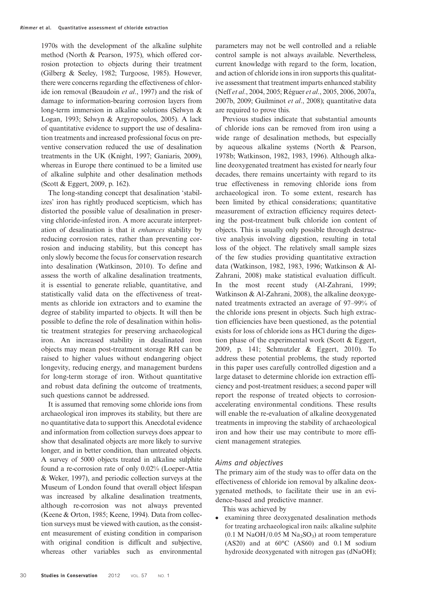1970s with the development of the alkaline sulphite method ([North & Pearson, 1975](#page-11-0)), which offered corrosion protection to objects during their treatment [\(Gilberg & Seeley, 1982](#page-10-0); [Turgoose, 1985](#page-11-0)). However, there were concerns regarding the effectiveness of chloride ion removal [\(Beaudoin](#page-10-0) et al., 1997) and the risk of damage to information-bearing corrosion layers from long-term immersion in alkaline solutions ([Selwyn &](#page-11-0) [Logan, 1993](#page-11-0); [Selwyn & Argyropoulos, 2005\)](#page-11-0). A lack of quantitative evidence to support the use of desalination treatments and increased professional focus on preventive conservation reduced the use of desalination treatments in the UK [\(Knight, 1997](#page-11-0); [Ganiaris, 2009](#page-10-0)), whereas in Europe there continued to be a limited use of alkaline sulphite and other desalination methods [\(Scott & Eggert, 2009,](#page-11-0) p. 162).

The long-standing concept that desalination 'stabilizes' iron has rightly produced scepticism, which has distorted the possible value of desalination in preserving chloride-infested iron. A more accurate interpretation of desalination is that it enhances stability by reducing corrosion rates, rather than preventing corrosion and inducing stability, but this concept has only slowly become the focus for conservation research into desalination ([Watkinson, 2010\)](#page-11-0). To define and assess the worth of alkaline desalination treatments, it is essential to generate reliable, quantitative, and statistically valid data on the effectiveness of treatments as chloride ion extractors and to examine the degree of stability imparted to objects. It will then be possible to define the role of desalination within holistic treatment strategies for preserving archaeological iron. An increased stability in desalinated iron objects may mean post-treatment storage RH can be raised to higher values without endangering object longevity, reducing energy, and management burdens for long-term storage of iron. Without quantitative and robust data defining the outcome of treatments, such questions cannot be addressed.

It is assumed that removing some chloride ions from archaeological iron improves its stability, but there are no quantitative data to support this. Anecdotal evidence and information from collection surveys does appear to show that desalinated objects are more likely to survive longer, and in better condition, than untreated objects. A survey of 5000 objects treated in alkaline sulphite found a re-corrosion rate of only 0.02% [\(Loeper-Attia](#page-11-0) [& Weker, 1997](#page-11-0)), and periodic collection surveys at the Museum of London found that overall object lifespan was increased by alkaline desalination treatments, although re-corrosion was not always prevented [\(Keene & Orton, 1985](#page-11-0); [Keene, 1994](#page-10-0)). Data from collection surveys must be viewed with caution, as the consistent measurement of existing condition in comparison with original condition is difficult and subjective, whereas other variables such as environmental

parameters may not be well controlled and a reliable control sample is not always available. Nevertheless, current knowledge with regard to the form, location, and action of chloride ions in iron supports this qualitative assessment that treatment imparts enhanced stability (Neff et al[., 2004](#page-11-0), [2005](#page-11-0); [Réguer](#page-11-0) et al., 2005, [2006](#page-11-0), [2007a](#page-11-0), [2007b, 2009](#page-11-0); [Guilminot](#page-10-0) et al., 2008); quantitative data are required to prove this.

Previous studies indicate that substantial amounts of chloride ions can be removed from iron using a wide range of desalination methods, but especially by aqueous alkaline systems [\(North & Pearson,](#page-11-0) [1978b](#page-11-0); [Watkinson, 1982](#page-11-0), [1983,](#page-11-0) 1996). Although alkaline deoxygenated treatment has existed for nearly four decades, there remains uncertainty with regard to its true effectiveness in removing chloride ions from archaeological iron. To some extent, research has been limited by ethical considerations; quantitative measurement of extraction efficiency requires detecting the post-treatment bulk chloride ion content of objects. This is usually only possible through destructive analysis involving digestion, resulting in total loss of the object. The relatively small sample sizes of the few studies providing quantitative extraction data (Watkinson, 1982, [1983,](#page-11-0) 1996; [Watkinson & Al-](#page-11-0)[Zahrani, 2008\)](#page-11-0) make statistical evaluation difficult. In the most recent study [\(Al-Zahrani, 1999](#page-10-0); [Watkinson & Al-Zahrani, 2008](#page-11-0)), the alkaline deoxygenated treatments extracted an average of 97–99% of the chloride ions present in objects. Such high extraction efficiencies have been questioned, as the potential exists for loss of chloride ions as HCl during the digestion phase of the experimental work (Scott  $&$  Eggert, [2009,](#page-11-0) p. 141; [Schmutzler & Eggert, 2010\)](#page-11-0). To address these potential problems, the study reported in this paper uses carefully controlled digestion and a large dataset to determine chloride ion extraction efficiency and post-treatment residues; a second paper will report the response of treated objects to corrosionaccelerating environmental conditions. These results will enable the re-evaluation of alkaline deoxygenated treatments in improving the stability of archaeological iron and how their use may contribute to more efficient management strategies.

# Aims and objectives

The primary aim of the study was to offer data on the effectiveness of chloride ion removal by alkaline deoxygenated methods, to facilitate their use in an evidence-based and predictive manner.

This was achieved by

examining three deoxygenated desalination methods for treating archaeological iron nails: alkaline sulphite  $(0.1 \text{ M NaOH}/0.05 \text{ M Na}_2\text{SO}_3)$  at room temperature (AS20) and at 60°C (AS60) and 0.1 M sodium hydroxide deoxygenated with nitrogen gas (dNaOH);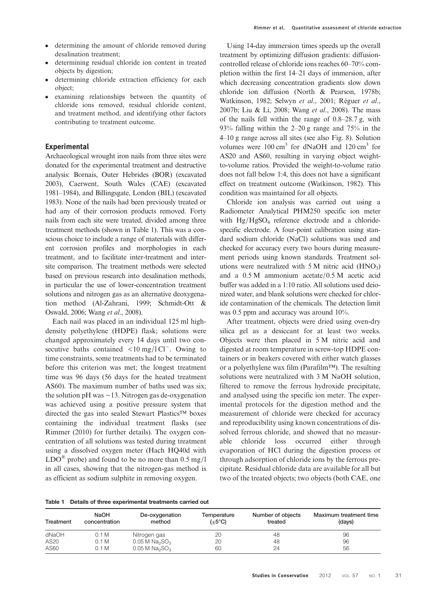- determining the amount of chloride removed during desalination treatment;
- determining residual chloride ion content in treated objects by digestion;
- determining chloride extraction efficiency for each object;
- examining relationships between the quantity of chloride ions removed, residual chloride content, and treatment method, and identifying other factors contributing to treatment outcome.

# Experimental

Archaeological wrought iron nails from three sites were donated for the experimental treatment and destructive analysis: Bornais, Outer Hebrides (BOR) (excavated 2003), Caerwent, South Wales (CAE) (excavated 1981–1984), and Billingsgate, London (BIL) (excavated 1983). None of the nails had been previously treated or had any of their corrosion products removed. Forty nails from each site were treated, divided among three treatment methods (shown in Table 1). This was a conscious choice to include a range of materials with different corrosion profiles and morphologies in each treatment, and to facilitate inter-treatment and intersite comparison. The treatment methods were selected based on previous research into desalination methods, in particular the use of lower-concentration treatment solutions and nitrogen gas as an alternative deoxygenation method ([Al-Zahrani, 1999](#page-10-0); [Schmidt-Ott &](#page-11-0) [Oswald, 2006](#page-11-0); Wang et al[., 2008\)](#page-11-0).

Each nail was placed in an individual 125 ml highdensity polyethylene (HDPE) flask; solutions were changed approximately every 14 days until two consecutive baths contained <10 mg/l Cl<sup>−</sup>. Owing to time constraints, some treatments had to be terminated before this criterion was met; the longest treatment time was 96 days (56 days for the heated treatment AS60). The maximum number of baths used was six; the solution pH was ∼13. Nitrogen gas de-oxygenation was achieved using a positive pressure system that directed the gas into sealed Stewart Plastics™ boxes containing the individual treatment flasks (see [Rimmer \(2010\)](#page-11-0) for further details). The oxygen concentration of all solutions was tested during treatment using a dissolved oxygen meter (Hach HQ40d with  $LDO^{\circledR}$  probe) and found to be no more than 0.5 mg/l in all cases, showing that the nitrogen-gas method is as efficient as sodium sulphite in removing oxygen.

Using 14-day immersion times speeds up the overall treatment by optimizing diffusion gradients: diffusioncontrolled release of chloride ions reaches 60–70% completion within the first 14–21 days of immersion, after which decreasing concentration gradients slow down chloride ion diffusion [\(North & Pearson, 1978b](#page-11-0); Watkinson, 1982; [Selwyn](#page-11-0) et al., 2001; [Réguer](#page-11-0) et al., [2007b; Liu & Li, 2008;](#page-11-0) Wang et al[., 2008](#page-11-0)). The mass of the nails fell within the range of 0.8–28.7 g, with 93% falling within the 2–20 g range and 75% in the 4–10 g range across all sites (see also Fig. [8\)](#page-7-0). Solution volumes were  $100 \text{ cm}^3$  for dNaOH and  $120 \text{ cm}^3$  for AS20 and AS60, resulting in varying object weightto-volume ratios. Provided the weight-to-volume ratio does not fall below 1:4, this does not have a significant effect on treatment outcome (Watkinson, 1982). This condition was maintained for all objects.

Chloride ion analysis was carried out using a Radiometer Analytical PHM250 specific ion meter with  $Hg/HgSO<sub>4</sub>$  reference electrode and a chloridespecific electrode. A four-point calibration using standard sodium chloride (NaCl) solutions was used and checked for accuracy every two hours during measurement periods using known standards. Treatment solutions were neutralized with  $5 M$  nitric acid (HNO<sub>3</sub>) and a 0.5 M ammonium acetate/0.5 M acetic acid buffer was added in a 1:10 ratio. All solutions used deionized water, and blank solutions were checked for chloride contamination of the chemicals. The detection limit was 0.5 ppm and accuracy was around 10%.

After treatment, objects were dried using oven-dry silica gel as a desiccant for at least two weeks. Objects were then placed in 5 M nitric acid and digested at room temperature in screw-top HDPE containers or in beakers covered with either watch glasses or a polyethylene wax film (Parafilm™). The resulting solutions were neutralized with 3 M NaOH solution, filtered to remove the ferrous hydroxide precipitate, and analysed using the specific ion meter. The experimental protocols for the digestion method and the measurement of chloride were checked for accuracy and reproducibility using known concentrations of dissolved ferrous chloride, and showed that no measurable chloride loss occurred either through evaporation of HCl during the digestion process or through adsorption of chloride ions by the ferrous precipitate. Residual chloride data are available for all but two of the treated objects; two objects (both CAE, one

|  | Table 1 Details of three experimental treatments carried out |  |
|--|--------------------------------------------------------------|--|
|  |                                                              |  |

| Treatment        | <b>NaOH</b><br>concentration | De-oxygenation<br>method                 | Temperature<br>$(\pm 5^{\circ}C)$ | Number of objects<br>treated | Maximum treatment time<br>(days) |
|------------------|------------------------------|------------------------------------------|-----------------------------------|------------------------------|----------------------------------|
| dNaOH            | 0.1 M                        | Nitrogen gas                             | 20                                | 48                           | 96                               |
| AS <sub>20</sub> | 0.1 M                        | 0.05 M Na <sub>2</sub> SO <sub>3</sub>   | 20                                | 48                           | 96                               |
| AS60             | 0.1 M                        | $0.05$ M Na <sub>2</sub> SO <sub>3</sub> | 60                                | 24                           | 56                               |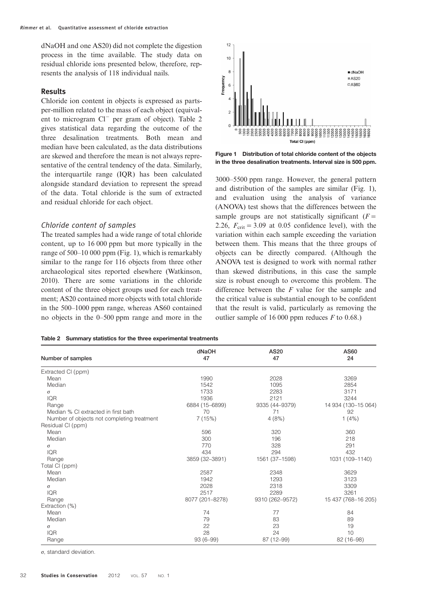<span id="page-3-0"></span>dNaOH and one AS20) did not complete the digestion process in the time available. The study data on residual chloride ions presented below, therefore, represents the analysis of 118 individual nails.

# Results

Chloride ion content in objects is expressed as partsper-million related to the mass of each object (equivalent to microgram Cl<sup>−</sup> per gram of object). Table 2 gives statistical data regarding the outcome of the three desalination treatments. Both mean and median have been calculated, as the data distributions are skewed and therefore the mean is not always representative of the central tendency of the data. Similarly, the interquartile range (IQR) has been calculated alongside standard deviation to represent the spread of the data. Total chloride is the sum of extracted and residual chloride for each object.

# Chloride content of samples

The treated samples had a wide range of total chloride content, up to 16 000 ppm but more typically in the range of 500–10 000 ppm (Fig. 1), which is remarkably similar to the range for 116 objects from three other archaeological sites reported elsewhere [\(Watkinson,](#page-11-0) [2010\)](#page-11-0). There are some variations in the chloride content of the three object groups used for each treatment; AS20 contained more objects with total chloride in the 500–1000 ppm range, whereas AS60 contained no objects in the 0–500 ppm range and more in the



Figure 1 Distribution of total chloride content of the objects in the three desalination treatments. Interval size is 500 ppm.

3000–5500 ppm range. However, the general pattern and distribution of the samples are similar (Fig. 1), and evaluation using the analysis of variance (ANOVA) test shows that the differences between the sample groups are not statistically significant  $(F =$ 2.26,  $F_{\text{crit}} = 3.09$  at 0.05 confidence level), with the variation within each sample exceeding the variation between them. This means that the three groups of objects can be directly compared. (Although the ANOVA test is designed to work with normal rather than skewed distributions, in this case the sample size is robust enough to overcome this problem. The difference between the  $F$  value for the sample and the critical value is substantial enough to be confident that the result is valid, particularly as removing the outlier sample of 16 000 ppm reduces  $F$  to 0.68.)

|  |  |  |  |  | Table 2 Summary statistics for the three experimental treatments |  |
|--|--|--|--|--|------------------------------------------------------------------|--|
|--|--|--|--|--|------------------------------------------------------------------|--|

|                                            | dNaOH           | AS20            | AS60                |
|--------------------------------------------|-----------------|-----------------|---------------------|
| Number of samples                          | 47              | 47              | 24                  |
| Extracted CI (ppm)                         |                 |                 |                     |
| Mean                                       | 1990            | 2028            | 3269                |
| Median                                     | 1542            | 1095            | 2854                |
| $\sigma$                                   | 1733            | 2283            | 3171                |
| <b>IQR</b>                                 | 1936            | 2121            | 3244                |
| Range                                      | 6884 (15-6899)  | 9335 (44-9379)  | 14 934 (130-15 064) |
| Median % CI extracted in first bath        | 70              | 71              | 92                  |
| Number of objects not completing treatment | 7(15%)          | 4(8%)           | 1(4%)               |
| Residual CI (ppm)                          |                 |                 |                     |
| Mean                                       | 596             | 320             | 360                 |
| Median                                     | 300             | 196             | 218                 |
| σ                                          | 770             | 328             | 291                 |
| <b>IQR</b>                                 | 434             | 294             | 432                 |
| Range                                      | 3859 (32-3891)  | 1561 (37-1598)  | 1031 (109-1140)     |
| Total CI (ppm)                             |                 |                 |                     |
| Mean                                       | 2587            | 2348            | 3629                |
| Median                                     | 1942            | 1293            | 3123                |
| σ                                          | 2028            | 2318            | 3309                |
| <b>IQR</b>                                 | 2517            | 2289            | 3261                |
| Range                                      | 8077 (201-8278) | 9310 (262-9572) | 15 437 (768-16 205) |
| Extraction (%)                             |                 |                 |                     |
| Mean                                       | 74              | 77              | 84                  |
| Median                                     | 79              | 83              | 89                  |
| σ                                          | 22              | 23              | 19                  |
| <b>IQR</b>                                 | 28              | 24              | 10                  |
| Range                                      | $93(6-99)$      | 87 (12-99)      | 82 (16-98)          |

σ, standard deviation.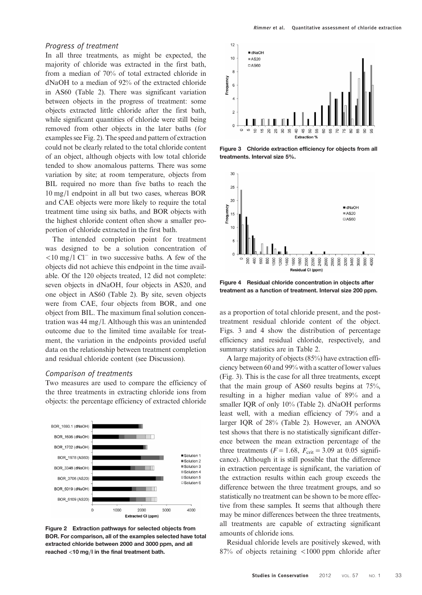<span id="page-4-0"></span>In all three treatments, as might be expected, the majority of chloride was extracted in the first bath, from a median of 70% of total extracted chloride in dNaOH to a median of 92% of the extracted chloride in AS60 (Table [2](#page-3-0)). There was significant variation between objects in the progress of treatment: some objects extracted little chloride after the first bath, while significant quantities of chloride were still being removed from other objects in the later baths (for examples see Fig. 2). The speed and pattern of extraction could not be clearly related to the total chloride content of an object, although objects with low total chloride tended to show anomalous patterns. There was some variation by site; at room temperature, objects from BIL required no more than five baths to reach the 10 mg/l endpoint in all but two cases, whereas BOR and CAE objects were more likely to require the total treatment time using six baths, and BOR objects with the highest chloride content often show a smaller proportion of chloride extracted in the first bath.

The intended completion point for treatment was designed to be a solution concentration of <10 mg/l Cl<sup>−</sup> in two successive baths. A few of the objects did not achieve this endpoint in the time available. Of the 120 objects treated, 12 did not complete: seven objects in dNaOH, four objects in AS20, and one object in AS60 (Table [2](#page-3-0)). By site, seven objects were from CAE, four objects from BOR, and one object from BIL. The maximum final solution concentration was 44 mg/l. Although this was an unintended outcome due to the limited time available for treatment, the variation in the endpoints provided useful data on the relationship between treatment completion and residual chloride content (see Discussion).

## Comparison of treatments

Two measures are used to compare the efficiency of the three treatments in extracting chloride ions from objects: the percentage efficiency of extracted chloride



Figure 2 Extraction pathways for selected objects from BOR. For comparison, all of the examples selected have total extracted chloride between 2000 and 3000 ppm, and all reached <10 mg/l in the final treatment bath.



Figure 3 Chloride extraction efficiency for objects from all treatments. Interval size 5%.



Figure 4 Residual chloride concentration in objects after treatment as a function of treatment. Interval size 200 ppm.

as a proportion of total chloride present, and the posttreatment residual chloride content of the object. Figs. 3 and 4 show the distribution of percentage efficiency and residual chloride, respectively, and summary statistics are in Table [2](#page-3-0).

A large majority of objects (85%) have extraction efficiency between 60 and 99% with a scatter of lower values (Fig. 3). This is the case for all three treatments, except that the main group of AS60 results begins at 75%, resulting in a higher median value of 89% and a smaller IQR of only 10% (Table [2](#page-3-0)). dNaOH performs least well, with a median efficiency of 79% and a larger IQR of 28% (Table [2](#page-3-0)). However, an ANOVA test shows that there is no statistically significant difference between the mean extraction percentage of the three treatments ( $F = 1.68$ ,  $F_{\text{crit}} = 3.09$  at 0.05 significance). Although it is still possible that the difference in extraction percentage is significant, the variation of the extraction results within each group exceeds the difference between the three treatment groups, and so statistically no treatment can be shown to be more effective from these samples. It seems that although there may be minor differences between the three treatments, all treatments are capable of extracting significant amounts of chloride ions.

Residual chloride levels are positively skewed, with 87% of objects retaining <1000 ppm chloride after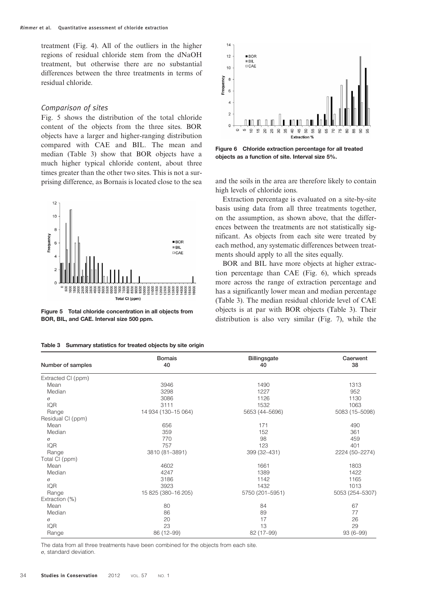<span id="page-5-0"></span>treatment (Fig. [4](#page-4-0)). All of the outliers in the higher regions of residual chloride stem from the dNaOH treatment, but otherwise there are no substantial differences between the three treatments in terms of residual chloride.

#### Comparison of sites

Fig. 5 shows the distribution of the total chloride content of the objects from the three sites. BOR objects have a larger and higher-ranging distribution compared with CAE and BIL. The mean and median (Table 3) show that BOR objects have a much higher typical chloride content, about three times greater than the other two sites. This is not a surprising difference, as Bornais is located close to the sea and the soils in the area are therefore likely to contain



Figure 5 Total chloride concentration in all objects from BOR, BIL, and CAE. Interval size 500 ppm.

|  | Table 3 Summary statistics for treated objects by site origin |  |  |  |  |  |
|--|---------------------------------------------------------------|--|--|--|--|--|
|--|---------------------------------------------------------------|--|--|--|--|--|



Figure 6 Chloride extraction percentage for all treated objects as a function of site. Interval size 5%.

high levels of chloride ions.

Extraction percentage is evaluated on a site-by-site basis using data from all three treatments together, on the assumption, as shown above, that the differences between the treatments are not statistically significant. As objects from each site were treated by each method, any systematic differences between treatments should apply to all the sites equally.

BOR and BIL have more objects at higher extraction percentage than CAE (Fig. 6), which spreads more across the range of extraction percentage and has a significantly lower mean and median percentage (Table 3). The median residual chloride level of CAE objects is at par with BOR objects (Table 3). Their distribution is also very similar (Fig. [7](#page-6-0)), while the

|                    | <b>Bornais</b>      | <b>Billingsgate</b> | Caerwent        |
|--------------------|---------------------|---------------------|-----------------|
| Number of samples  | 40                  | 40                  | 38              |
| Extracted CI (ppm) |                     |                     |                 |
| Mean               | 3946                | 1490                | 1313            |
| Median             | 3298                | 1227                | 952             |
| $\sigma$           | 3086                | 1126                | 1130            |
| <b>IQR</b>         | 3111                | 1532                | 1063            |
| Range              | 14 934 (130-15 064) | 5653 (44-5696)      | 5083 (15-5098)  |
| Residual CI (ppm)  |                     |                     |                 |
| Mean               | 656                 | 171                 | 490             |
| Median             | 359                 | 152                 | 361             |
| $\sigma$           | 770                 | 98                  | 459             |
| <b>IQR</b>         | 757                 | 123                 | 401             |
| Range              | 3810 (81-3891)      | 399 (32-431)        | 2224 (50-2274)  |
| Total CI (ppm)     |                     |                     |                 |
| Mean               | 4602                | 1661                | 1803            |
| Median             | 4247                | 1389                | 1422            |
| $\sigma$           | 3186                | 1142                | 1165            |
| <b>IQR</b>         | 3923                | 1432                | 1013            |
| Range              | 15 825 (380-16 205) | 5750 (201-5951)     | 5053 (254-5307) |
| Extraction (%)     |                     |                     |                 |
| Mean               | 80                  | 84                  | 67              |
| Median             | 86                  | 89                  | 77              |
| $\sigma$           | 20                  | 17                  | 26              |
| <b>IQR</b>         | 23                  | 13                  | 29              |
| Range              | 86 (12-99)          | 82 (17-99)          | 93 (6-99)       |

The data from all three treatments have been combined for the objects from each site. σ, standard deviation.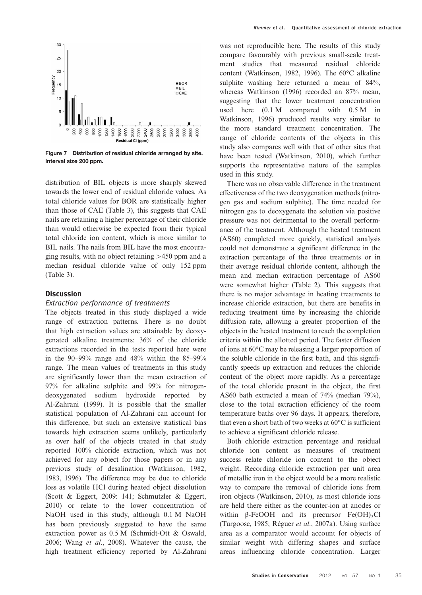<span id="page-6-0"></span>

Figure 7 Distribution of residual chloride arranged by site. Interval size 200 ppm.

distribution of BIL objects is more sharply skewed towards the lower end of residual chloride values. As total chloride values for BOR are statistically higher than those of CAE (Table [3](#page-5-0)), this suggests that CAE nails are retaining a higher percentage of their chloride than would otherwise be expected from their typical total chloride ion content, which is more similar to BIL nails. The nails from BIL have the most encouraging results, with no object retaining >450 ppm and a median residual chloride value of only 152 ppm (Table [3\)](#page-5-0).

# **Discussion**

# Extraction performance of treatments

The objects treated in this study displayed a wide range of extraction patterns. There is no doubt that high extraction values are attainable by deoxygenated alkaline treatments: 36% of the chloride extractions recorded in the tests reported here were in the  $90-99\%$  range and  $48\%$  within the  $85-99\%$ range. The mean values of treatments in this study are significantly lower than the mean extraction of 97% for alkaline sulphite and 99% for nitrogendeoxygenated sodium hydroxide reported by [Al-Zahrani \(1999\).](#page-10-0) It is possible that the smaller statistical population of Al-Zahrani can account for this difference, but such an extensive statistical bias towards high extraction seems unlikely, particularly as over half of the objects treated in that study reported 100% chloride extraction, which was not achieved for any object for those papers or in any previous study of desalination (Watkinson, 1982, [1983](#page-11-0), 1996). The difference may be due to chloride loss as volatile HCl during heated object dissolution [\(Scott & Eggert, 2009](#page-11-0): 141; Schmutzler & Eggert, 2010) or relate to the lower concentration of NaOH used in this study, although 0.1 M NaOH has been previously suggested to have the same extraction power as 0.5 M [\(Schmidt-Ott & Oswald,](#page-11-0) [2006](#page-11-0); Wang et al[., 2008\)](#page-11-0). Whatever the cause, the high treatment efficiency reported by Al-Zahrani

was not reproducible here. The results of this study compare favourably with previous small-scale treatment studies that measured residual chloride content (Watkinson, 1982, 1996). The 60°C alkaline sulphite washing here returned a mean of 84%, whereas [Watkinson \(1996\)](#page-11-0) recorded an 87% mean, suggesting that the lower treatment concentration used here (0.1 M compared with 0.5 M in Watkinson, 1996) produced results very similar to the more standard treatment concentration. The range of chloride contents of the objects in this study also compares well with that of other sites that have been tested [\(Watkinson, 2010\)](#page-11-0), which further supports the representative nature of the samples used in this study.

There was no observable difference in the treatment effectiveness of the two deoxygenation methods (nitrogen gas and sodium sulphite). The time needed for nitrogen gas to deoxygenate the solution via positive pressure was not detrimental to the overall performance of the treatment. Although the heated treatment (AS60) completed more quickly, statistical analysis could not demonstrate a significant difference in the extraction percentage of the three treatments or in their average residual chloride content, although the mean and median extraction percentage of AS60 were somewhat higher (Table [2](#page-3-0)). This suggests that there is no major advantage in heating treatments to increase chloride extraction, but there are benefits in reducing treatment time by increasing the chloride diffusion rate, allowing a greater proportion of the objects in the heated treatment to reach the completion criteria within the allotted period. The faster diffusion of ions at 60°C may be releasing a larger proportion of the soluble chloride in the first bath, and this significantly speeds up extraction and reduces the chloride content of the object more rapidly. As a percentage of the total chloride present in the object, the first AS60 bath extracted a mean of 74% (median 79%), close to the total extraction efficiency of the room temperature baths over 96 days. It appears, therefore, that even a short bath of two weeks at 60°C is sufficient to achieve a significant chloride release.

Both chloride extraction percentage and residual chloride ion content as measures of treatment success relate chloride ion content to the object weight. Recording chloride extraction per unit area of metallic iron in the object would be a more realistic way to compare the removal of chloride ions from iron objects [\(Watkinson, 2010](#page-11-0)), as most chloride ions are held there either as the counter-ion at anodes or within  $\beta$ -FeOOH and its precursor Fe(OH)<sub>3</sub>Cl [\(Turgoose, 1985](#page-11-0); Réguer et al[., 2007a\)](#page-11-0). Using surface area as a comparator would account for objects of similar weight with differing shapes and surface areas influencing chloride concentration. Larger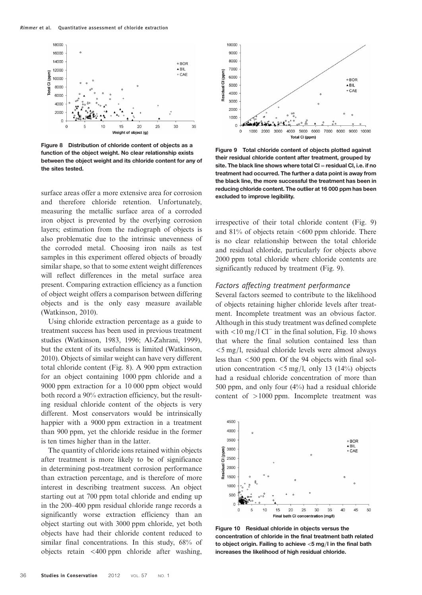<span id="page-7-0"></span>

Figure 8 Distribution of chloride content of objects as a function of the object weight. No clear relationship exists between the object weight and its chloride content for any of the sites tested.

surface areas offer a more extensive area for corrosion and therefore chloride retention. Unfortunately, measuring the metallic surface area of a corroded iron object is prevented by the overlying corrosion layers; estimation from the radiograph of objects is also problematic due to the intrinsic unevenness of the corroded metal. Choosing iron nails as test samples in this experiment offered objects of broadly similar shape, so that to some extent weight differences will reflect differences in the metal surface area present. Comparing extraction efficiency as a function of object weight offers a comparison between differing objects and is the only easy measure available [\(Watkinson, 2010](#page-11-0)).

Using chloride extraction percentage as a guide to treatment success has been used in previous treatment studies ([Watkinson, 1983,](#page-11-0) 1996; [Al-Zahrani, 1999](#page-10-0)), but the extent of its usefulness is limited [\(Watkinson,](#page-11-0) [2010\)](#page-11-0). Objects of similar weight can have very different total chloride content (Fig. 8). A 900 ppm extraction for an object containing 1000 ppm chloride and a 9000 ppm extraction for a 10 000 ppm object would both record a 90% extraction efficiency, but the resulting residual chloride content of the objects is very different. Most conservators would be intrinsically happier with a 9000 ppm extraction in a treatment than 900 ppm, yet the chloride residue in the former is ten times higher than in the latter.

The quantity of chloride ions retained within objects after treatment is more likely to be of significance in determining post-treatment corrosion performance than extraction percentage, and is therefore of more interest in describing treatment success. An object starting out at 700 ppm total chloride and ending up in the 200–400 ppm residual chloride range records a significantly worse extraction efficiency than an object starting out with 3000 ppm chloride, yet both objects have had their chloride content reduced to similar final concentrations. In this study,  $68\%$  of objects retain <400 ppm chloride after washing,



Figure 9 Total chloride content of objects plotted against their residual chloride content after treatment, grouped by site. The black line shows where total  $Cl =$  residual  $Cl$ , i.e. if no treatment had occurred. The further a data point is away from the black line, the more successful the treatment has been in reducing chloride content. The outlier at 16 000 ppm has been excluded to improve legibility.

irrespective of their total chloride content (Fig. 9) and  $81\%$  of objects retain  $\leq 600$  ppm chloride. There is no clear relationship between the total chloride and residual chloride, particularly for objects above 2000 ppm total chloride where chloride contents are significantly reduced by treatment (Fig. 9).

# Factors affecting treatment performance

Several factors seemed to contribute to the likelihood of objects retaining higher chloride levels after treatment. Incomplete treatment was an obvious factor. Although in this study treatment was defined complete with  $\leq 10$  mg/l Cl<sup>−</sup> in the final solution, Fig. 10 shows that where the final solution contained less than <5 mg/l, residual chloride levels were almost always less than <500 ppm. Of the 94 objects with final solution concentration  $\langle 5 \text{ mg/l} \rangle$ , only 13 (14%) objects had a residual chloride concentration of more than 500 ppm, and only four (4%) had a residual chloride content of >1000 ppm. Incomplete treatment was



Figure 10 Residual chloride in objects versus the concentration of chloride in the final treatment bath related to object origin. Failing to achieve <5 mg/l in the final bath increases the likelihood of high residual chloride.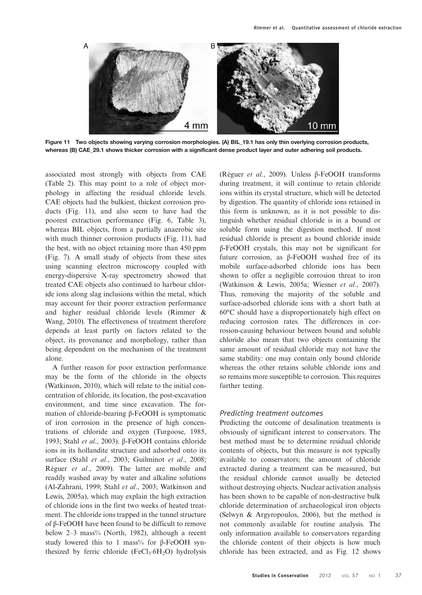

Figure 11 Two objects showing varying corrosion morphologies. (A) BIL\_19.1 has only thin overlying corrosion products, whereas (B) CAE\_29.1 shows thicker corrosion with a significant dense product layer and outer adhering soil products.

associated most strongly with objects from CAE (Table [2](#page-3-0)). This may point to a role of object morphology in affecting the residual chloride levels. CAE objects had the bulkiest, thickest corrosion products (Fig. 11), and also seem to have had the poorest extraction performance (Fig. [6](#page-5-0), Table [3](#page-5-0)), whereas BIL objects, from a partially anaerobic site with much thinner corrosion products (Fig. 11), had the best, with no object retaining more than 450 ppm (Fig. [7](#page-6-0)). A small study of objects from these sites using scanning electron microscopy coupled with energy-dispersive X-ray spectrometry showed that treated CAE objects also continued to harbour chloride ions along slag inclusions within the metal, which may account for their poorer extraction performance and higher residual chloride levels [\(Rimmer &](#page-11-0) [Wang, 2010](#page-11-0)). The effectiveness of treatment therefore depends at least partly on factors related to the object, its provenance and morphology, rather than being dependent on the mechanism of the treatment alone.

A further reason for poor extraction performance may be the form of the chloride in the objects [\(Watkinson, 2010\)](#page-11-0), which will relate to the initial concentration of chloride, its location, the post-excavation environment, and time since excavation. The formation of chloride-bearing β-FeOOH is symptomatic of iron corrosion in the presence of high concentrations of chloride and oxygen [\(Turgoose, 1985](#page-11-0), [1993](#page-11-0); Stahl et al[., 2003\)](#page-11-0). β-FeOOH contains chloride ions in its hollandite structure and adsorbed onto its surface (Stahl et al[., 2003](#page-11-0); [Guilminot](#page-10-0) et al., 2008; Réguer et al[., 2009](#page-11-0)). The latter are mobile and readily washed away by water and alkaline solutions [\(Al-Zahrani, 1999;](#page-10-0) Stahl et al[., 2003](#page-11-0); [Watkinson and](#page-12-0) [Lewis, 2005a](#page-12-0)), which may explain the high extraction of chloride ions in the first two weeks of heated treatment. The chloride ions trapped in the tunnel structure of β-FeOOH have been found to be difficult to remove below 2–3 mass% ([North, 1982](#page-11-0)), although a recent study lowered this to 1 mass% for  $\beta$ -FeOOH synthesized by ferric chloride  $(FeCl<sub>3</sub>·6H<sub>2</sub>O)$  hydrolysis (Réguer et al[., 2009\)](#page-11-0). Unless β-FeOOH transforms during treatment, it will continue to retain chloride ions within its crystal structure, which will be detected by digestion. The quantity of chloride ions retained in this form is unknown, as it is not possible to distinguish whether residual chloride is in a bound or soluble form using the digestion method. If most residual chloride is present as bound chloride inside β-FeOOH crystals, this may not be significant for future corrosion, as β-FeOOH washed free of its mobile surface-adsorbed chloride ions has been shown to offer a negligible corrosion threat to iron [\(Watkinson & Lewis, 2005a; Wiesner](#page-12-0) et al., 2007). Thus, removing the majority of the soluble and surface-adsorbed chloride ions with a short bath at 60°C should have a disproportionately high effect on reducing corrosion rates. The differences in corrosion-causing behaviour between bound and soluble chloride also mean that two objects containing the same amount of residual chloride may not have the same stability: one may contain only bound chloride whereas the other retains soluble chloride ions and so remains more susceptible to corrosion. This requires further testing.

#### Predicting treatment outcomes

Predicting the outcome of desalination treatments is obviously of significant interest to conservators. The best method must be to determine residual chloride contents of objects, but this measure is not typically available to conservators; the amount of chloride extracted during a treatment can be measured, but the residual chloride cannot usually be detected without destroying objects. Nuclear activation analysis has been shown to be capable of non-destructive bulk chloride determination of archaeological iron objects [\(Selwyn & Argyropoulos, 2006](#page-11-0)), but the method is not commonly available for routine analysis. The only information available to conservators regarding the chloride content of their objects is how much chloride has been extracted, and as Fig. [12](#page-9-0) shows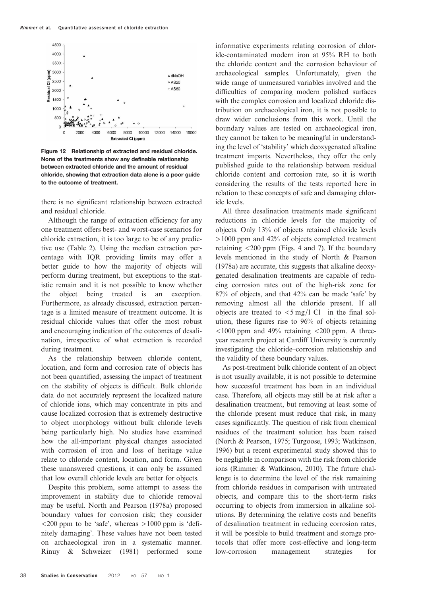<span id="page-9-0"></span>

Figure 12 Relationship of extracted and residual chloride. None of the treatments show any definable relationship between extracted chloride and the amount of residual chloride, showing that extraction data alone is a poor guide to the outcome of treatment.

there is no significant relationship between extracted and residual chloride.

Although the range of extraction efficiency for any one treatment offers best- and worst-case scenarios for chloride extraction, it is too large to be of any predictive use (Table [2\)](#page-3-0). Using the median extraction percentage with IQR providing limits may offer a better guide to how the majority of objects will perform during treatment, but exceptions to the statistic remain and it is not possible to know whether the object being treated is an exception. Furthermore, as already discussed, extraction percentage is a limited measure of treatment outcome. It is residual chloride values that offer the most robust and encouraging indication of the outcomes of desalination, irrespective of what extraction is recorded during treatment.

As the relationship between chloride content, location, and form and corrosion rate of objects has not been quantified, assessing the impact of treatment on the stability of objects is difficult. Bulk chloride data do not accurately represent the localized nature of chloride ions, which may concentrate in pits and cause localized corrosion that is extremely destructive to object morphology without bulk chloride levels being particularly high. No studies have examined how the all-important physical changes associated with corrosion of iron and loss of heritage value relate to chloride content, location, and form. Given these unanswered questions, it can only be assumed that low overall chloride levels are better for objects.

Despite this problem, some attempt to assess the improvement in stability due to chloride removal may be useful. [North and Pearson \(1978a\)](#page-11-0) proposed boundary values for corrosion risk; they consider  $\langle$  200 ppm to be 'safe', whereas  $>1000$  ppm is 'definitely damaging'. These values have not been tested on archaeological iron in a systematic manner. [Rinuy & Schweizer \(1981\)](#page-11-0) performed some informative experiments relating corrosion of chloride-contaminated modern iron at 95% RH to both the chloride content and the corrosion behaviour of archaeological samples. Unfortunately, given the wide range of unmeasured variables involved and the difficulties of comparing modern polished surfaces with the complex corrosion and localized chloride distribution on archaeological iron, it is not possible to draw wider conclusions from this work. Until the boundary values are tested on archaeological iron, they cannot be taken to be meaningful in understanding the level of 'stability' which deoxygenated alkaline treatment imparts. Nevertheless, they offer the only published guide to the relationship between residual chloride content and corrosion rate, so it is worth considering the results of the tests reported here in relation to these concepts of safe and damaging chloride levels.

All three desalination treatments made significant reductions in chloride levels for the majority of objects. Only 13% of objects retained chloride levels >1000 ppm and 42% of objects completed treatment retaining <200 ppm (Figs. [4](#page-4-0) and [7](#page-6-0)). If the boundary levels mentioned in the study of [North & Pearson](#page-11-0) [\(1978a\)](#page-11-0) are accurate, this suggests that alkaline deoxygenated desalination treatments are capable of reducing corrosion rates out of the high-risk zone for 87% of objects, and that 42% can be made 'safe' by removing almost all the chloride present. If all objects are treated to <5 mg/l Cl<sup>−</sup> in the final solution, these figures rise to 96% of objects retaining  $\langle 1000 \text{ ppm} \rangle$  and 49% retaining  $\langle 200 \text{ ppm} \rangle$ . A threeyear research project at Cardiff University is currently investigating the chloride–corrosion relationship and the validity of these boundary values.

As post-treatment bulk chloride content of an object is not usually available, it is not possible to determine how successful treatment has been in an individual case. Therefore, all objects may still be at risk after a desalination treatment, but removing at least some of the chloride present must reduce that risk, in many cases significantly. The question of risk from chemical residues of the treatment solution has been raised [\(North & Pearson, 1975; Turgoose, 1993](#page-11-0); Watkinson, 1996) but a recent experimental study showed this to be negligible in comparison with the risk from chloride ions [\(Rimmer & Watkinson, 2010\)](#page-11-0). The future challenge is to determine the level of the risk remaining from chloride residues in comparison with untreated objects, and compare this to the short-term risks occurring to objects from immersion in alkaline solutions. By determining the relative costs and benefits of desalination treatment in reducing corrosion rates, it will be possible to build treatment and storage protocols that offer more cost-effective and long-term low-corrosion management strategies for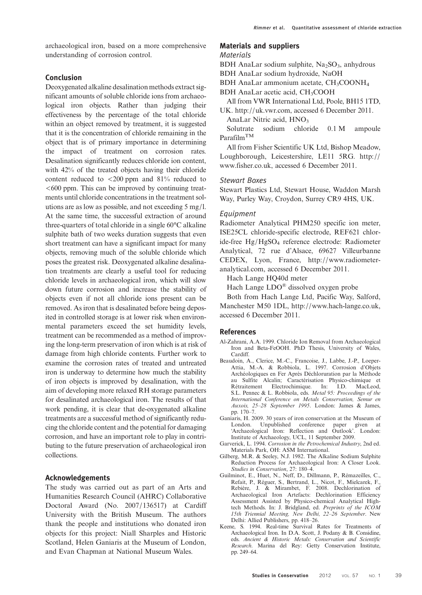# <span id="page-10-0"></span>Conclusion

Deoxygenated alkaline desalination methods extract significant amounts of soluble chloride ions from archaeological iron objects. Rather than judging their effectiveness by the percentage of the total chloride within an object removed by treatment, it is suggested that it is the concentration of chloride remaining in the object that is of primary importance in determining the impact of treatment on corrosion rates. Desalination significantly reduces chloride ion content, with 42% of the treated objects having their chloride content reduced to <200 ppm and 81% reduced to  $<600$  ppm. This can be improved by continuing treatments until chloride concentrations in the treatment solutions are as low as possible, and not exceeding 5 mg/l. At the same time, the successful extraction of around three-quarters of total chloride in a single 60°C alkaline sulphite bath of two weeks duration suggests that even short treatment can have a significant impact for many objects, removing much of the soluble chloride which poses the greatest risk. Deoxygenated alkaline desalination treatments are clearly a useful tool for reducing chloride levels in archaeological iron, which will slow down future corrosion and increase the stability of objects even if not all chloride ions present can be removed. As iron that is desalinated before being deposited in controlled storage is at lower risk when environmental parameters exceed the set humidity levels, treatment can be recommended as a method of improving the long-term preservation of iron which is at risk of damage from high chloride contents. Further work to examine the corrosion rates of treated and untreated iron is underway to determine how much the stability of iron objects is improved by desalination, with the aim of developing more relaxed RH storage parameters for desalinated archaeological iron. The results of that work pending, it is clear that de-oxygenated alkaline treatments are a successful method of significantly reducing the chloride content and the potential for damaging corrosion, and have an important role to play in contributing to the future preservation of archaeological iron collections.

# Acknowledgements

The study was carried out as part of an Arts and Humanities Research Council (AHRC) Collaborative Doctoral Award (No. 2007/136517) at Cardiff University with the British Museum. The authors thank the people and institutions who donated iron objects for this project: Niall Sharples and Historic Scotland, Helen Ganiaris at the Museum of London, and Evan Chapman at National Museum Wales.

#### Materials and suppliers

#### Materials

BDH AnaLar sodium sulphite,  $Na<sub>2</sub>SO<sub>3</sub>$ , anhydrous

BDH AnaLar sodium hydroxide, NaOH

BDH AnaLar ammonium acetate,  $CH_3COONH_4$ 

BDH AnaLar acetic acid, CH3COOH

All from VWR International Ltd, Poole, BH15 1TD,

UK. [http:](mailto:rimmermb@cardiff.ac.uk)//[uk.vwr.com](mailto:rimmermb@cardiff.ac.uk), accessed 6 December 2011. AnaLar Nitric acid, HNO3

Solutrate sodium chloride 0.1 M ampoule  $Param^{TM}$ 

All from Fisher Scientific UK Ltd, Bishop Meadow, Loughborough, Leicestershire, LE11 5RG. [http:](http://www.fisher.co.uk)// [www.fisher.co.uk](http://www.fisher.co.uk), accessed 6 December 2011.

### Stewart Boxes

Stewart Plastics Ltd, Stewart House, Waddon Marsh Way, Purley Way, Croydon, Surrey CR9 4HS, UK.

#### Equipment

Radiometer Analytical PHM250 specific ion meter, ISE25CL chloride-specific electrode, REF621 chloride-free Hg/HgSO4 reference electrode: Radiometer Analytical, 72 rue d'Alsace, 69627 Villeurbanne CEDEX, Lyon, France, [http:](http://www.radiometer-analytical.com)//[www.radiometer](http://www.radiometer-analytical.com)[analytical.com,](http://www.radiometer-analytical.com) accessed 6 December 2011.

Hach Lange HQ40d meter

Hach Lange LDO® dissolved oxygen probe

Both from Hach Lange Ltd, Pacific Way, Salford, Manchester M50 1DL, [http:](http://www.hach-lange.co.uk)//[www.hach-lange.co.uk](http://www.hach-lange.co.uk), accessed 6 December 2011.

#### References

- Al-Zahrani, A.A. 1999. Chloride Ion Removal from Archaeological Iron and Beta-FeOOH. PhD Thesis, University of Wales, Cardiff.
- Beaudoin, A., Clerice, M.-C., Francoise, J., Labbe, J.-P., Loeper-Attia, M.-A. & Robbiola, L. 1997. Corrosion d'Objets Archéologiques en Fer Après Déchloruration par la Méthode au Sulfite Alcalin; Caractérisation Physico-chimique et Electrochimique. S.L. Pennec & L. Robbiola, eds. Metal 95: Proceedings of the International Conference on Metals Conservation, Semur en Auxois, 25–28 September 1995. London: James & James, pp. 170–7.
- Ganiaris, H. 2009. 30 years of iron conservation at the Museum of London. Unpublished conference paper given at 'Archaeological Iron: Reflection and Outlook'. London: Institute of Archaeology, UCL, 11 September 2009.
- Garverick, L. 1994. Corrosion in the Petrochemical Industry, 2nd ed. Materials Park, OH: ASM International.
- Gilberg, M.R. & Seeley, N.J. 1982. The Alkaline Sodium Sulphite Reduction Process for Archaeological Iron: A Closer Look. Studies in Conservation, 27: 180–4.
- Guilminot, E., Huet, N., Neff, D., Dillmann, P., Rémazeilles, C., Refait, P., Réguer, S., Bertrand, L., Nicot, F., Mielcarek, F., Rebière, J. & Mirambet, F. 2008. Dechlorination of Archaeological Iron Artefacts: Dechlorination Efficiency Assessment Assisted by Physico-chemical Analytical Hightech Methods. In: J. Bridgland, ed. Preprints of the ICOM 15th Triennial Meeting, New Delhi, 22–26 September. New Delhi: Allied Publishers, pp. 418–26.
- Keene, S. 1994. Real-time Survival Rates for Treatments of Archaeological Iron. In D.A. Scott, J. Podany & B. Considine, eds. Ancient & Historic Metals: Conservation and Scientific Research. Marina del Rey: Getty Conservation Institute, pp. 249–64.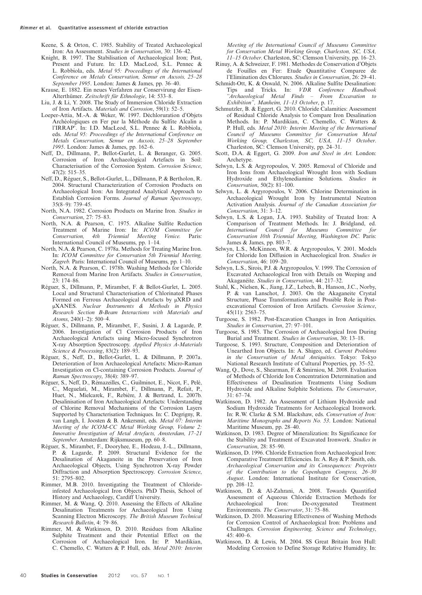<span id="page-11-0"></span>Keene, S. & Orton, C. 1985. Stability of Treated Archaeological Iron: An Assessment. Studies in Conservation, 30: 136–42.

- Knight, B. 1997. The Stabilisation of Archaeological Iron; Past, Present and Future. In: I.D. MacLeod, S.L. Pennec & L. Robbiola, eds. Metal 95: Proceedings of the International Conference on Metals Conservation, Semur en Auxois, 25–28 September 1995. London: James & James, pp. 36–40.
- Krause, E. 1882. Ein neues Verfahren zur Conservirung der Eisen-Alterthümer. Zeitschrift für Ethnologie, 14: 533–8.
- Liu, J. & Li, Y. 2008. The Study of Immersion Chloride Extraction of Iron Artifacts. Materials and Corrosion, 59(1): 52–5.
- Loeper-Attia, M.-A. & Weker, W. 1997. Déchloruration d'Objets Archéologiques en Fer par la Méthode du Sulfite Alcalin a l'IRRAP'. In: I.D. MacLeod, S.L. Pennec & L. Robbiola, eds. Metal 95: Proceedings of the International Conference on Metals Conservation, Semur en Auxois, 25–28 September 1995. London: James & James, pp. 162–6.
- Neff, D., Dillmann, P., Bellot-Gurlet, L. & Beranger, G. 2005. Corrosion of Iron Archaeological Artefacts in Soil: Characterisation of the Corrosion System. Corrosion Science, 47(2): 515–35.
- Neff, D., Réguer, S., Bellot-Gurlet, L., Dillmann, P. & Bertholon, R. 2004. Structural Characterization of Corrosion Products on Archaeological Iron: An Integrated Analytical Approach to Establish Corrosion Forms. Journal of Raman Spectroscopy, 35(8–9): 739–45.
- North, N.A. 1982. Corrosion Products on Marine Iron. Studies in Conservation, 27: 75–83.
- North, N.A. & Pearson, C. 1975. Alkaline Sulfite Reduction Treatment of Marine Iron: In: ICOM Committee for Conservation, 4th Triennial Meeting Venice. Paris: International Council of Museums, pp. 1–14.
- North, N.A. & Pearson, C. 1978a. Methods for Treating Marine Iron. In: ICOM Committee for Conservation 5th Triennial Meeting, Zagreb. Paris: International Council of Museums, pp. 1–10.
- North, N.A. & Pearson, C. 1978b. Washing Methods for Chloride Removal from Marine Iron Artifacts. Studies in Conservation, 23: 174–86.
- Réguer, S., Dillmann, P., Mirambet, F. & Bellot-Gurlet, L. 2005. Local and Structural Characterisation of Chlorinated Phases Formed on Ferrous Archaeological Artefacts by μXRD and μXANES. Nuclear Instruments & Methods in Physics Research Section B-Beam Interactions with Materials and Atoms, 240(1–2): 500–4.
- Réguer, S., Dillmann, P., Mirambet, F., Susini, J. & Lagarde, P. 2006. Investigation of Cl Corrosion Products of Iron Archaeological Artefacts using Micro-focused Synchrotron X-ray Absorption Spectroscopy. Applied Physics A-Materials Science & Processing, 83(2): 189–93.
- Réguer, S., Neff, D., Bellot-Gurlet, L. & Dillmann, P. 2007a. Deterioration of Iron Archaeological Artefacts: Micro-Raman Investigation on Cl-containing Corrosion Products. Journal of Raman Spectroscopy, 38(4): 389–97.
- Réguer, S., Neff, D., Rémazeilles, C., Guilminot, E., Nicot, F., Pelé, C., Meguelati, M., Mirambet, F., Dillmann, P., Refait, P., Huet, N., Mielcarek, F., Rebière, J. & Bertrand, L. 2007b. Desalinisation of Iron Archaeological Artefacts: Understanding of Chlorine Removal Mechanisms of the Corrosion Layers Supported by Characterisation Techniques. In: C. Degrigny, R. van Langh, I. Joosten & B. Ankersmit, eds. Metal 07: Interim Meeting of the ICOM-CC Metal Working Group, Volume 2: Innovative Investigation of Metal Artefacts, Amsterdam, 17–21 September. Amsterdam: Rijksmuseum, pp. 60–8.
- Réguer, S., Mirambet, F., Dooryhee, E., Hodeau, J.-L., Dillmann, P. & Lagarde, P. 2009. Structural Evidence for the Desalination of Akaganeite in the Preservation of Iron Archaeological Objects, Using Synchrotron X-ray Powder Diffraction and Absorption Spectroscopy. Corrosion Science, 51: 2795–802.
- Rimmer, M.B. 2010. Investigating the Treatment of Chlorideinfested Archaeological Iron Objects. PhD Thesis, School of History and Archaeology, Cardiff University.
- Rimmer, M. & Wang, Q. 2010. Assessing the Effects of Alkaline Desalination Treatments for Archaeological Iron Using Scanning Electron Microscopy. The British Museum Technical Research Bulletin, 4: 79–86.
- Rimmer, M. & Watkinson, D. 2010. Residues from Alkaline Sulphite Treatment and their Potential Effect on the Corrosion of Archaeological Iron. In: P. Mardikian, C. Chemello, C. Watters & P. Hull, eds. Metal 2010: Interim

Meeting of the International Council of Museums Committee for Conservation Metal Working Group, Charleston, SC, USA, 11–15 October. Charleston, SC: Clemson University, pp. 16–23.

- Rinuy, A. & Schweizer, F. 1981. Methodes de Conservation d'Objets de Fouilles en Fer: Etude Quantitative Comparee de l'Elimination des Chlorures. Studies in Conservation, 26: 29–41.
- Schmidt-Ott, K. & Oswald, N. 2006. Alkaline Sulfite Desalination: Tips and Tricks. In: *VDR Conference Handbook* "Archaeological Metal Finds – From Excavation to Exhibition", Manheim, 11–13 October, p. 17.
- Schmutzler, B. & Eggert, G. 2010. Chloride Calamities: Assessment of Residual Chloride Analysis to Compare Iron Desalination Methods. In: P. Mardikian, C. Chemello, C. Watters & P. Hull, eds. Metal 2010: Interim Meeting of the International Council of Museums Committee for Conservation Metal Working Group, Charleston, SC, USA, 11–15 October. Charleston, SC: Clemson University, pp. 24–31.
- Scott, D.A. & Eggert, G. 2009. Iron and Steel in Art. London: Archetype.
- Selwyn, L.S. & Argyropoulos, V. 2005. Removal of Chloride and Iron Ions from Archaeological Wrought Iron with Sodium Hydroxide and Ethylenediamine Solutions. Studies in Conservation, 50(2): 81–100.
- Selwyn, L. & Argyropoulos, V. 2006. Chlorine Determination in Archaeological Wrought Iron by Instrumental Neutron Activation Analysis. Journal of the Canadian Association for Conservation, 31: 3–12.
- Selwyn, L.S. & Logan, J.A. 1993. Stability of Treated Iron: A Comparison of Treatment Methods. In: J. Bridgland, ed.<br>International Council for Museums Committee for Council for Museums Committee for Conservation 10th Triennial Meeting, Washington DC. Paris: James & James, pp. 803–7.
- Selwyn, L.S., McKinnon, W.R. & Argyropoulos, V. 2001. Models for Chloride Ion Diffusion in Archaeological Iron. Studies in Conservation, 46: 109–20.
- Selwyn, L.S., Sirois, P.J. & Argyropoulos, V. 1999. The Corrosion of Excavated Archaeological Iron with Details on Weeping and Akaganéite. Studies in Conservation, 44: 217–32.
- Stahl, K., Nielsen, K., Jiang, J.Z., Lebech, B., Hanson, J.C., Norby, P. & van Lanschot, J. 2003. On the Akaganeite Crystal Structure, Phase Transformations and Possible Role in Postexcavational Corrosion of Iron Artifacts. Corrosion Science, 45(11): 2563–75.
- Turgoose, S. 1982. Post-Excavation Changes in Iron Antiquities. Studies in Conservation, 27: 97–101.
- Turgoose, S. 1985. The Corrosion of Archaeological Iron During Burial and Treatment. Studies in Conservation, 30: 13–18.
- Turgoose, S. 1993. Structure, Composition and Deterioration of Unearthed Iron Objects. In: A. Shigeo, ed. Current Problems in the Conservation of Metal Antiquities. Tokyo: Tokyo National Research Institute of Cultural Properties, pp. 35–52.
- Wang, Q., Dove, S., Shearman, F. & Smirniou, M. 2008. Evaluation of Methods of Chloride Ion Concentration Determination and Effectiveness of Desalination Treatments Using Sodium Hydroxide and Alkaline Sulphite Solutions. The Conservator,  $31 \cdot 67 - 74$
- Watkinson, D. 1982. An Assessment of Lithium Hydroxide and Sodium Hydroxide Treatments for Archaeological Ironwork. In: R.W. Clarke & S.M. Blackshaw, eds. Conservation of Iron: Maritime Monographs and Reports No. 53. London: National Maritime Museum, pp. 28–40.
- Watkinson, D. 1983. Degree of Mineralization: Its Significance for the Stability and Treatment of Excavated Ironwork. Studies in Conservation, 28: 85–90.
- Watkinson, D. 1996. Chloride Extraction from Archaeological Iron: Comparative Treatment Efficiencies. In: A. Roy & P. Smith, eds. Archaeological Conservation and its Consequences: Preprints of the Contribution to the Copenhagen Congress, 26–30 August. London: International Institute for Conservation, pp. 208–12.
- Watkinson, D. & Al-Zahrani, A. 2008. Towards Quantified Assessment of Aqueous Chloride Extraction Methods for Archaeological Iron: De-oxygenated Treatment Environments. The Conservator, 31: 75–86.
- Watkinson, D. 2010. Measuring Effectiveness of Washing Methods for Corrosion Control of Archaeological Iron: Problems and Challenges. Corrosion Engineering, Science and Technology, 45: 400–6.
- Watkinson, D. & Lewis, M. 2004. SS Great Britain Iron Hull: Modeling Corrosion to Define Storage Relative Humidity. In: